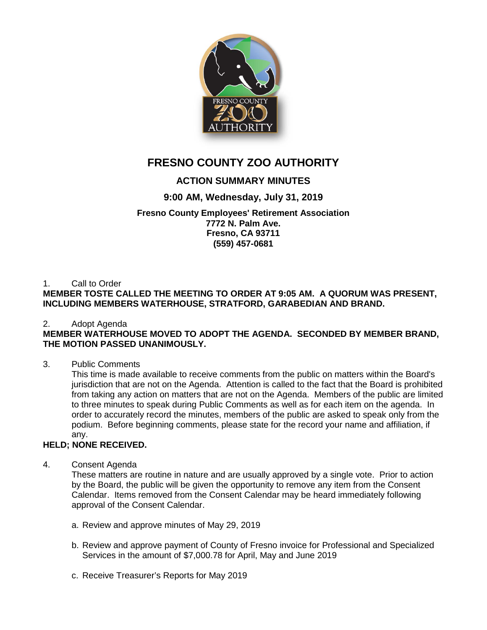

# **FRESNO COUNTY ZOO AUTHORITY**

# **ACTION SUMMARY MINUTES**

# **9:00 AM, Wednesday, July 31, 2019**

### **Fresno County Employees' Retirement Association 7772 N. Palm Ave. Fresno, CA 93711 (559) 457-0681**

#### 1. Call to Order **MEMBER TOSTE CALLED THE MEETING TO ORDER AT 9:05 AM. A QUORUM WAS PRESENT, INCLUDING MEMBERS WATERHOUSE, STRATFORD, GARABEDIAN AND BRAND.**

# 2. Adopt Agenda

## **MEMBER WATERHOUSE MOVED TO ADOPT THE AGENDA. SECONDED BY MEMBER BRAND, THE MOTION PASSED UNANIMOUSLY.**

3. Public Comments

This time is made available to receive comments from the public on matters within the Board's jurisdiction that are not on the Agenda. Attention is called to the fact that the Board is prohibited from taking any action on matters that are not on the Agenda. Members of the public are limited to three minutes to speak during Public Comments as well as for each item on the agenda. In order to accurately record the minutes, members of the public are asked to speak only from the podium. Before beginning comments, please state for the record your name and affiliation, if any.

## **HELD; NONE RECEIVED.**

4. Consent Agenda

These matters are routine in nature and are usually approved by a single vote. Prior to action by the Board, the public will be given the opportunity to remove any item from the Consent Calendar. Items removed from the Consent Calendar may be heard immediately following approval of the Consent Calendar.

- a. Review and approve minutes of May 29, 2019
- b. Review and approve payment of County of Fresno invoice for Professional and Specialized Services in the amount of \$7,000.78 for April, May and June 2019
- c. Receive Treasurer's Reports for May 2019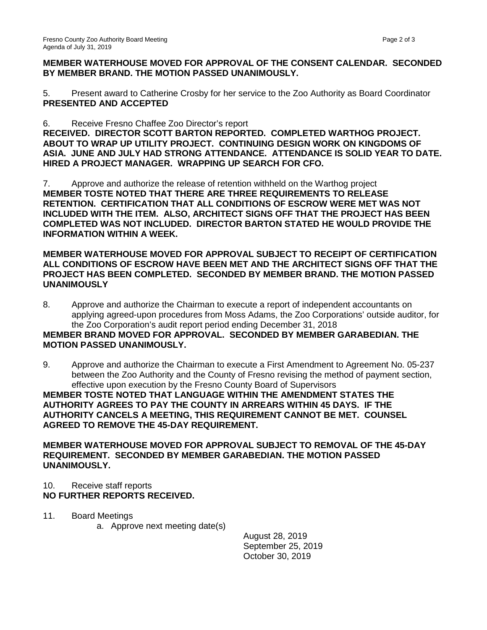## **MEMBER WATERHOUSE MOVED FOR APPROVAL OF THE CONSENT CALENDAR. SECONDED BY MEMBER BRAND. THE MOTION PASSED UNANIMOUSLY.**

5. Present award to Catherine Crosby for her service to the Zoo Authority as Board Coordinator **PRESENTED AND ACCEPTED**

6. Receive Fresno Chaffee Zoo Director's report **RECEIVED. DIRECTOR SCOTT BARTON REPORTED. COMPLETED WARTHOG PROJECT. ABOUT TO WRAP UP UTILITY PROJECT. CONTINUING DESIGN WORK ON KINGDOMS OF ASIA. JUNE AND JULY HAD STRONG ATTENDANCE. ATTENDANCE IS SOLID YEAR TO DATE. HIRED A PROJECT MANAGER. WRAPPING UP SEARCH FOR CFO.** 

7. Approve and authorize the release of retention withheld on the Warthog project **MEMBER TOSTE NOTED THAT THERE ARE THREE REQUIREMENTS TO RELEASE RETENTION. CERTIFICATION THAT ALL CONDITIONS OF ESCROW WERE MET WAS NOT INCLUDED WITH THE ITEM. ALSO, ARCHITECT SIGNS OFF THAT THE PROJECT HAS BEEN COMPLETED WAS NOT INCLUDED. DIRECTOR BARTON STATED HE WOULD PROVIDE THE INFORMATION WITHIN A WEEK.**

## **MEMBER WATERHOUSE MOVED FOR APPROVAL SUBJECT TO RECEIPT OF CERTIFICATION ALL CONDITIONS OF ESCROW HAVE BEEN MET AND THE ARCHITECT SIGNS OFF THAT THE PROJECT HAS BEEN COMPLETED. SECONDED BY MEMBER BRAND. THE MOTION PASSED UNANIMOUSLY**

- 8. Approve and authorize the Chairman to execute a report of independent accountants on applying agreed-upon procedures from Moss Adams, the Zoo Corporations' outside auditor, for the Zoo Corporation's audit report period ending December 31, 2018 **MEMBER BRAND MOVED FOR APPROVAL. SECONDED BY MEMBER GARABEDIAN. THE MOTION PASSED UNANIMOUSLY.**
- 9. Approve and authorize the Chairman to execute a First Amendment to Agreement No. 05-237 between the Zoo Authority and the County of Fresno revising the method of payment section,

effective upon execution by the Fresno County Board of Supervisors **MEMBER TOSTE NOTED THAT LANGUAGE WITHIN THE AMENDMENT STATES THE AUTHORITY AGREES TO PAY THE COUNTY IN ARREARS WITHIN 45 DAYS. IF THE AUTHORITY CANCELS A MEETING, THIS REQUIREMENT CANNOT BE MET. COUNSEL AGREED TO REMOVE THE 45-DAY REQUIREMENT.**

**MEMBER WATERHOUSE MOVED FOR APPROVAL SUBJECT TO REMOVAL OF THE 45-DAY REQUIREMENT. SECONDED BY MEMBER GARABEDIAN. THE MOTION PASSED UNANIMOUSLY.**

# 10. Receive staff reports

# **NO FURTHER REPORTS RECEIVED.**

- 11. Board Meetings
	- a. Approve next meeting date(s)

August 28, 2019 September 25, 2019 October 30, 2019